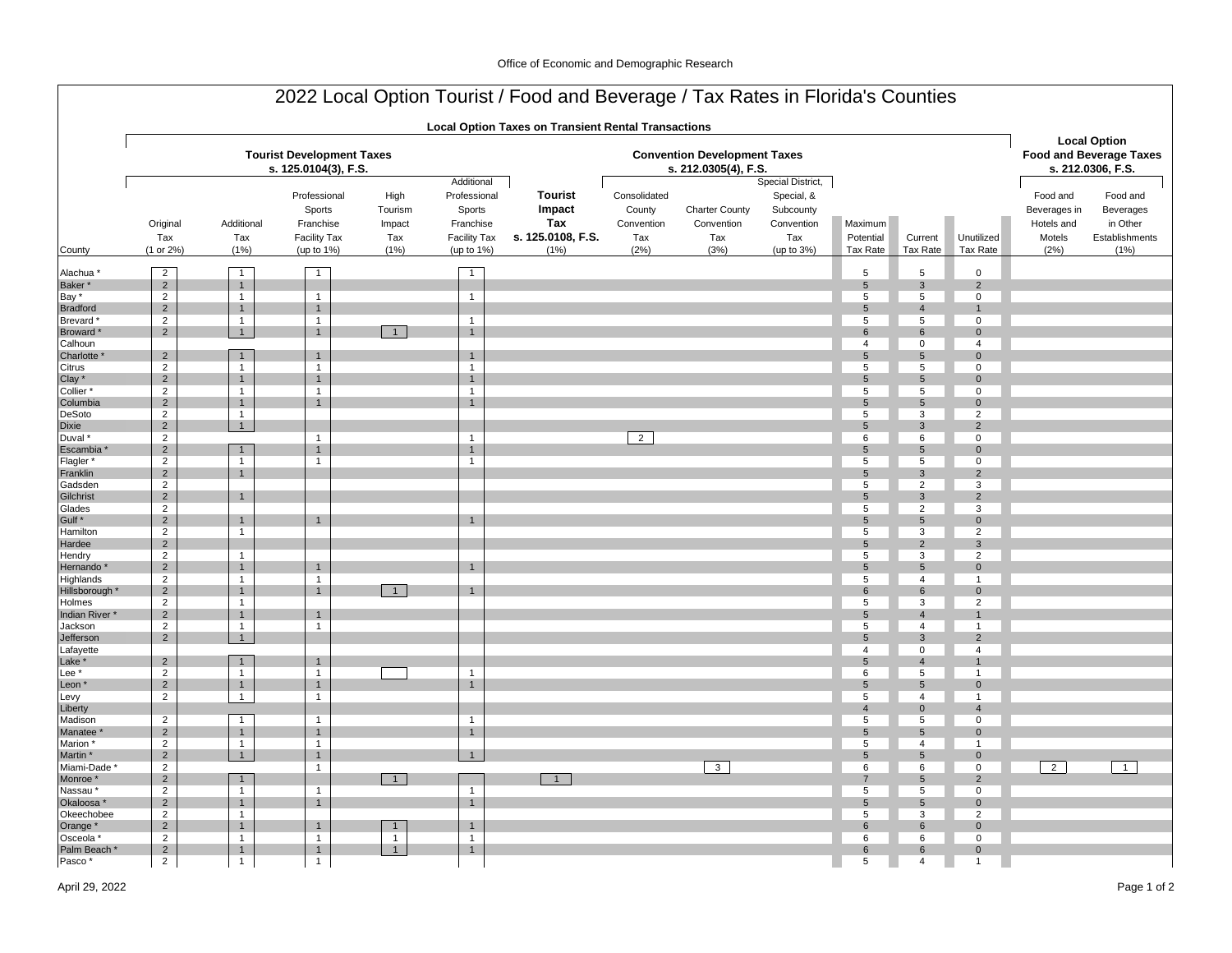|                                                                              |                                                                                        |                                                                                |                                                                          |                                           |                                                                                        | 2022 Local Option Tourist / Food and Beverage / Tax Rates in Florida's Counties |                                                             |                                                    |                                                                                 |                                  |                                          |                                                |                                                          |                                                                            |
|------------------------------------------------------------------------------|----------------------------------------------------------------------------------------|--------------------------------------------------------------------------------|--------------------------------------------------------------------------|-------------------------------------------|----------------------------------------------------------------------------------------|---------------------------------------------------------------------------------|-------------------------------------------------------------|----------------------------------------------------|---------------------------------------------------------------------------------|----------------------------------|------------------------------------------|------------------------------------------------|----------------------------------------------------------|----------------------------------------------------------------------------|
|                                                                              |                                                                                        |                                                                                |                                                                          |                                           |                                                                                        | <b>Local Option Taxes on Transient Rental Transactions</b>                      |                                                             |                                                    |                                                                                 |                                  |                                          |                                                |                                                          |                                                                            |
|                                                                              |                                                                                        |                                                                                | <b>Tourist Development Taxes</b><br>s. 125.0104(3), F.S.                 |                                           |                                                                                        |                                                                                 | <b>Convention Development Taxes</b><br>s. 212.0305(4), F.S. |                                                    |                                                                                 |                                  |                                          |                                                |                                                          | <b>Local Option</b><br><b>Food and Beverage Taxes</b><br>s. 212.0306, F.S. |
| County                                                                       | Original<br>Tax<br>(1 or 2%)                                                           | Additional<br>Tax<br>(1% )                                                     | Professional<br>Sports<br>Franchise<br><b>Facility Tax</b><br>(up to 1%) | High<br>Tourism<br>Impact<br>Tax<br>(1% ) | Additional<br>Professional<br>Sports<br>Franchise<br><b>Facility Tax</b><br>(up to 1%) | <b>Tourist</b><br>Impact<br>Tax<br>s. 125.0108, F.S.<br>(1% )                   | Consolidated<br>County<br>Convention<br>Tax<br>(2%)         | <b>Charter County</b><br>Convention<br>Tax<br>(3%) | Special District,<br>Special, &<br>Subcounty<br>Convention<br>Tax<br>(up to 3%) | Maximum<br>Potential<br>Tax Rate | Current<br>Tax Rate                      | Unutilized<br>Tax Rate                         | Food and<br>Beverages in<br>Hotels and<br>Motels<br>(2%) | Food and<br>Beverages<br>in Other<br>Establishments<br>(1% )               |
|                                                                              |                                                                                        |                                                                                |                                                                          |                                           |                                                                                        |                                                                                 |                                                             |                                                    |                                                                                 | 5                                | 5                                        |                                                |                                                          |                                                                            |
| Alachua <sup>*</sup><br>Baker*<br>Bay *<br><b>Bradford</b><br><b>Brevard</b> | $\overline{2}$<br>$\overline{2}$<br>$\overline{2}$<br>$\overline{2}$<br>$\overline{2}$ | $\mathbf{1}$<br>$\mathbf{1}$<br>$\mathbf{1}$<br>$\overline{1}$<br>$\mathbf{1}$ | $\mathbf{1}$<br>$\mathbf{1}$<br>$\mathbf{1}$<br>$\mathbf{1}$             |                                           | $\overline{1}$<br>$\overline{1}$<br>$\overline{1}$                                     |                                                                                 |                                                             |                                                    |                                                                                 | $\sqrt{5}$<br>5<br>5<br>5        | $\mathbf{3}$<br>5<br>$\overline{4}$<br>5 | $\mathbf 0$<br>$\mathbf 2$<br>$\mathbf 0$<br>0 |                                                          |                                                                            |
| Broward*<br>Calhoun                                                          | $\overline{2}$                                                                         | 1                                                                              | $\mathbf{1}$                                                             | $\overline{1}$                            | $\overline{1}$                                                                         |                                                                                 |                                                             |                                                    |                                                                                 | 6<br>4                           | $\,6\,$<br>$\mathbf 0$                   | $\mathsf{O}\xspace$<br>4                       |                                                          |                                                                            |
| Charlotte<br>Citrus<br>Clay *                                                | $\overline{2}$<br>$\overline{2}$<br>$\sqrt{2}$                                         | $\mathbf{1}$<br>$\mathbf{1}$<br>$\mathbf{1}$                                   | $\mathbf{1}$<br>$\mathbf{1}$<br>$\mathbf{1}$                             |                                           | $\overline{1}$<br>$\mathbf{1}$<br>$\overline{1}$                                       |                                                                                 |                                                             |                                                    |                                                                                 | 5<br>5<br>5                      | $5\phantom{.0}$<br>5<br>$5\phantom{.0}$  | $\mathbf{0}$<br>$\mathbf 0$<br>$\mathbf 0$     |                                                          |                                                                            |
| Collier*<br>Columbia                                                         | $\overline{2}$<br>$\sqrt{2}$                                                           | $\overline{1}$<br>$\mathbf{1}$                                                 | $\mathbf{1}$<br>$\mathbf{1}$                                             |                                           | $\overline{1}$<br>$\mathbf{1}$                                                         |                                                                                 |                                                             |                                                    |                                                                                 | 5<br>$5\phantom{.0}$             | 5<br>$\sqrt{5}$                          | $\mathbf 0$<br>$\Omega$                        |                                                          |                                                                            |
| DeSoto                                                                       | $\overline{2}$                                                                         | $\mathbf{1}$                                                                   |                                                                          |                                           |                                                                                        |                                                                                 |                                                             |                                                    |                                                                                 | 5                                | 3                                        | $\overline{2}$                                 |                                                          |                                                                            |
| Dixie<br>Duval *                                                             | $\overline{2}$<br>$\overline{2}$                                                       | 1                                                                              | $\mathbf{1}$                                                             |                                           | $\overline{1}$                                                                         |                                                                                 | $\overline{2}$                                              |                                                    |                                                                                 | 5<br>6                           | $\mathbf{3}$<br>6                        | $\overline{2}$<br>$\mathbf 0$                  |                                                          |                                                                            |
| Escambia                                                                     | $\mathbf 2$                                                                            | $\mathbf{1}$                                                                   | $\mathbf{1}$                                                             |                                           | $\mathbf{1}$                                                                           |                                                                                 |                                                             |                                                    |                                                                                 | 5                                | $5\phantom{.0}$                          | $\mathbf{0}$                                   |                                                          |                                                                            |
| Flagler*<br>Franklin                                                         | $\overline{2}$<br>$\sqrt{2}$                                                           | $\mathbf{1}$<br>$\mathbf{1}$                                                   | $\mathbf{1}$                                                             |                                           | $\mathbf{1}$                                                                           |                                                                                 |                                                             |                                                    |                                                                                 | 5<br>5                           | 5<br>$\mathbf{3}$                        | $\mathsf 0$<br>$\overline{2}$                  |                                                          |                                                                            |
| Gadsden                                                                      | $\overline{2}$                                                                         |                                                                                |                                                                          |                                           |                                                                                        |                                                                                 |                                                             |                                                    |                                                                                 | 5                                | $\overline{2}$                           | 3                                              |                                                          |                                                                            |
| Gilchrist                                                                    | $\overline{2}$                                                                         | $\mathbf{1}$                                                                   |                                                                          |                                           |                                                                                        |                                                                                 |                                                             |                                                    |                                                                                 | 5                                | $\mathbf{3}$                             | $\overline{2}$                                 |                                                          |                                                                            |
| Glades<br>Gulf <sup>*</sup>                                                  | $\overline{2}$<br>$\mathbf 2$                                                          | $\overline{1}$                                                                 | $\mathbf{1}$                                                             |                                           | $\overline{1}$                                                                         |                                                                                 |                                                             |                                                    |                                                                                 | 5<br>$\overline{5}$              | $\overline{2}$<br>$5\phantom{.0}$        | 3<br>$\mathbf 0$                               |                                                          |                                                                            |
| Hamilton                                                                     | $\overline{2}$                                                                         | $\mathbf{1}$                                                                   |                                                                          |                                           |                                                                                        |                                                                                 |                                                             |                                                    |                                                                                 | 5                                | 3                                        | $\overline{2}$                                 |                                                          |                                                                            |
| Hardee                                                                       | $\overline{2}$                                                                         |                                                                                |                                                                          |                                           |                                                                                        |                                                                                 |                                                             |                                                    |                                                                                 | $5\phantom{.0}$                  | $\overline{2}$                           | 3                                              |                                                          |                                                                            |
| Hendry<br>Hernando                                                           | $\overline{2}$<br>$\sqrt{2}$                                                           | $\mathbf{1}$<br>$\mathbf{1}$                                                   | $\mathbf{1}$                                                             |                                           | $\overline{1}$                                                                         |                                                                                 |                                                             |                                                    |                                                                                 | 5<br>5                           | 3<br>$5\phantom{.0}$                     | 2<br>$\mathbf 0$                               |                                                          |                                                                            |
| Highlands                                                                    | $\overline{2}$                                                                         | $\mathbf{1}$                                                                   | $\mathbf{1}$                                                             |                                           |                                                                                        |                                                                                 |                                                             |                                                    |                                                                                 | 5                                | $\overline{4}$                           | $\mathbf{1}$                                   |                                                          |                                                                            |
| Hillsborough *                                                               | $\sqrt{2}$                                                                             | $\mathbf{1}$                                                                   | $\mathbf{1}$                                                             | $\overline{1}$                            | $\overline{1}$                                                                         |                                                                                 |                                                             |                                                    |                                                                                 | 6                                | 6                                        | $\mathbf 0$                                    |                                                          |                                                                            |
| Holmes<br>Indian River*                                                      | $\overline{2}$<br>$\sqrt{2}$                                                           | $\overline{1}$<br>$\overline{1}$                                               | $\mathbf{1}$                                                             |                                           |                                                                                        |                                                                                 |                                                             |                                                    |                                                                                 | 5<br>$5\phantom{.0}$             | 3<br>$\overline{4}$                      | 2                                              |                                                          |                                                                            |
| Jackson                                                                      | $\overline{2}$                                                                         | $\mathbf{1}$                                                                   | $\mathbf{1}$                                                             |                                           |                                                                                        |                                                                                 |                                                             |                                                    |                                                                                 | 5                                | $\overline{4}$                           | $\mathbf{1}$                                   |                                                          |                                                                            |
| Jefferson                                                                    | $\overline{2}$                                                                         | 1                                                                              |                                                                          |                                           |                                                                                        |                                                                                 |                                                             |                                                    |                                                                                 | $5\phantom{.0}$                  | $\mathbf{3}$                             | $\overline{2}$                                 |                                                          |                                                                            |
| Lafayette<br>Lake *                                                          | $\sqrt{2}$                                                                             | $\mathbf{1}$                                                                   | $\mathbf{1}$                                                             |                                           |                                                                                        |                                                                                 |                                                             |                                                    |                                                                                 | $\overline{4}$<br>5              | $\mathbf 0$<br>$\overline{4}$            | $\overline{4}$                                 |                                                          |                                                                            |
| Lee <sup>*</sup>                                                             | 2                                                                                      | $\overline{1}$                                                                 | $\mathbf{1}$                                                             |                                           | $\mathbf{1}$                                                                           |                                                                                 |                                                             |                                                    |                                                                                 | 6                                | 5                                        | $\overline{1}$                                 |                                                          |                                                                            |
| Leon *                                                                       | $\overline{2}$                                                                         | $\mathbf{1}$                                                                   | $\mathbf{1}$                                                             |                                           | $\overline{1}$                                                                         |                                                                                 |                                                             |                                                    |                                                                                 | 5                                | $5\phantom{.0}$                          | $\mathbf 0$                                    |                                                          |                                                                            |
| Levy<br>Liberty                                                              | $\overline{2}$                                                                         | $\mathbf{1}$                                                                   | $\mathbf{1}$                                                             |                                           |                                                                                        |                                                                                 |                                                             |                                                    |                                                                                 | 5<br>$\overline{4}$              | $\overline{4}$<br>$\mathbf 0$            | $\overline{1}$<br>$\overline{4}$               |                                                          |                                                                            |
| Madison                                                                      | $\overline{2}$                                                                         | $\mathbf{1}$                                                                   | $\mathbf{1}$                                                             |                                           | $\mathbf{1}$                                                                           |                                                                                 |                                                             |                                                    |                                                                                 | 5                                | 5                                        | 0                                              |                                                          |                                                                            |
| Manatee                                                                      | $\overline{2}$                                                                         | $\overline{1}$                                                                 | $\mathbf{1}$                                                             |                                           | $\mathbf{1}$                                                                           |                                                                                 |                                                             |                                                    |                                                                                 | $5\phantom{.0}$                  | $5\phantom{.0}$                          | $\mathsf{O}\xspace$                            |                                                          |                                                                            |
| Marion *                                                                     | $\overline{2}$                                                                         | $\mathbf{1}$                                                                   | $\mathbf{1}$                                                             |                                           |                                                                                        |                                                                                 |                                                             |                                                    |                                                                                 | 5                                | $\overline{4}$                           | $\mathbf{1}$                                   |                                                          |                                                                            |
| Martin *                                                                     | $\overline{2}$<br>$\overline{2}$                                                       | 1                                                                              | $\mathbf{1}$<br>$\overline{1}$                                           |                                           | $\mathbf{1}$                                                                           |                                                                                 |                                                             | $\overline{\mathbf{3}}$                            |                                                                                 | 5<br>6                           | $5\phantom{.0}$<br>6                     | $\mathbf 0$<br>$\mathbf 0$                     | $\overline{2}$                                           | $\overline{1}$                                                             |
| Miami-Dade '<br>Monroe *                                                     | $\overline{2}$                                                                         | $\mathbf{1}$                                                                   |                                                                          | $\overline{1}$                            |                                                                                        |                                                                                 |                                                             |                                                    |                                                                                 | 7                                | $5\phantom{.0}$                          | $\overline{2}$                                 |                                                          |                                                                            |
| Nassau*                                                                      | $\overline{2}$                                                                         | $\mathbf{1}$                                                                   | $\overline{1}$                                                           |                                           | $\mathbf{1}$                                                                           |                                                                                 |                                                             |                                                    |                                                                                 | $\overline{5}$                   | 5                                        | $\mathsf{O}\xspace$                            |                                                          |                                                                            |
| Okaloosa *                                                                   | $\overline{2}$                                                                         | $\mathbf{1}$                                                                   | $\mathbf{1}$                                                             |                                           | $\mathbf{1}$                                                                           |                                                                                 |                                                             |                                                    |                                                                                 | 5                                | $5\phantom{.0}$                          | $\mathbf 0$                                    |                                                          |                                                                            |
| Okeechobee<br>Orange *                                                       | $\overline{2}$<br>$\overline{2}$                                                       | $\mathbf{1}$<br>$\mathbf{1}$                                                   | $\mathbf{1}$                                                             | $\mathbf{1}$                              | $\overline{1}$                                                                         |                                                                                 |                                                             |                                                    |                                                                                 | 5<br>6                           | 3<br>6                                   | $\overline{2}$<br>$\mathbf 0$                  |                                                          |                                                                            |
| Osceola *                                                                    | $\overline{2}$                                                                         | $\mathbf{1}$                                                                   | $\mathbf{1}$                                                             | $\mathbf{1}$                              | $\overline{1}$                                                                         |                                                                                 |                                                             |                                                    |                                                                                 | 6                                | 6                                        | $\mathbf 0$                                    |                                                          |                                                                            |
| Palm Beach '                                                                 | $\sqrt{2}$                                                                             | $\overline{1}$                                                                 | $\mathbf{1}$                                                             | $\overline{1}$                            | $\overline{1}$                                                                         |                                                                                 |                                                             |                                                    |                                                                                 | 6                                | 6                                        | $\mathbf 0$                                    |                                                          |                                                                            |
| Pasco*                                                                       | $2^{\circ}$                                                                            | 1                                                                              | $\mathbf{1}$                                                             |                                           |                                                                                        |                                                                                 |                                                             |                                                    |                                                                                 | 5                                | 4                                        | $\mathbf{1}$                                   |                                                          |                                                                            |